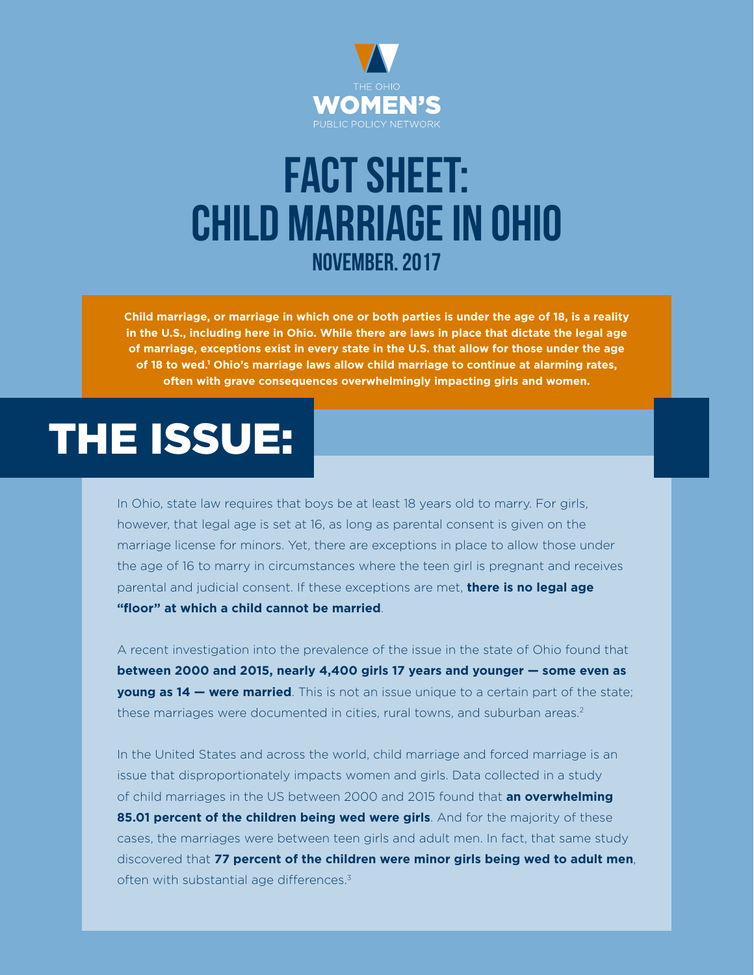

## FACT SHEET: CHILD MARRIAGE IN OHIO November. 2017

**Child marriage, or marriage in which one or both parties is under the age of 18, is a reality in the U.S., including here in Ohio. While there are laws in place that dictate the legal age of marriage, exceptions exist in every state in the U.S. that allow for those under the age of 18 to wed.1 Ohio's marriage laws allow child marriage to continue at alarming rates, often with grave consequences overwhelmingly impacting girls and women.**

## THE ISSUE:

In Ohio, state law requires that boys be at least 18 years old to marry. For girls, however, that legal age is set at 16, as long as parental consent is given on the marriage license for minors. Yet, there are exceptions in place to allow those under the age of 16 to marry in circumstances where the teen girl is pregnant and receives parental and judicial consent. If these exceptions are met, **there is no legal age "floor" at which a child cannot be married**.

A recent investigation into the prevalence of the issue in the state of Ohio found that **between 2000 and 2015, nearly 4,400 girls 17 years and younger — some even as young as 14 — were married**. This is not an issue unique to a certain part of the state; these marriages were documented in cities, rural towns, and suburban areas.<sup>2</sup>

In the United States and across the world, child marriage and forced marriage is an issue that disproportionately impacts women and girls. Data collected in a study of child marriages in the US between 2000 and 2015 found that **an overwhelming 85.01 percent of the children being wed were girls**. And for the majority of these cases, the marriages were between teen girls and adult men. In fact, that same study discovered that **77 percent of the children were minor girls being wed to adult men**, often with substantial age differences.<sup>3</sup>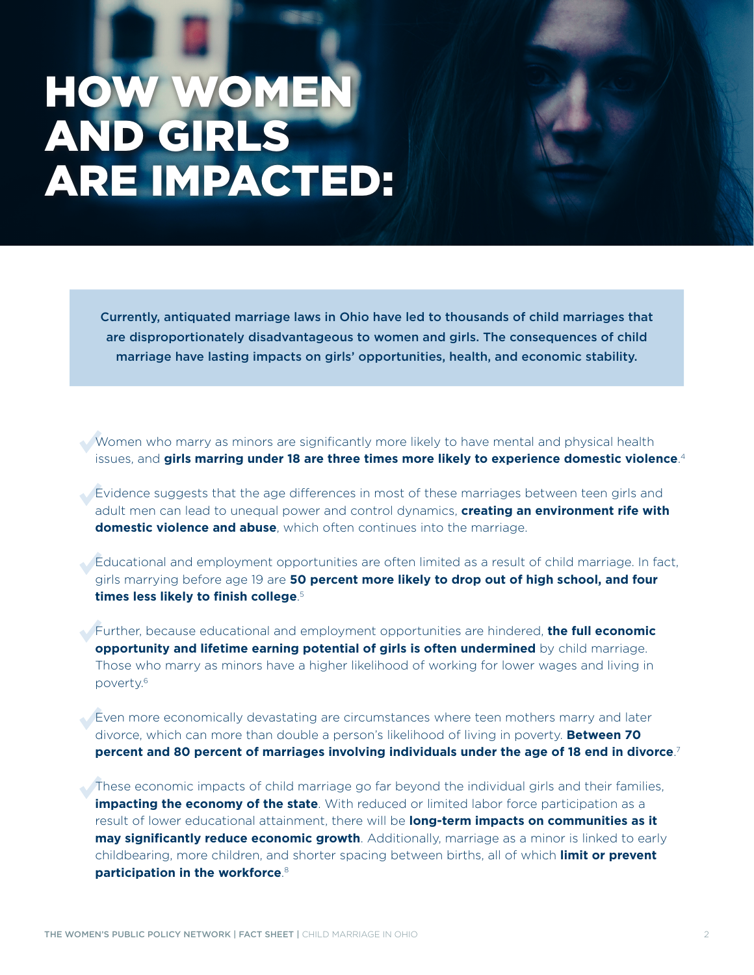## HOW WOMEN AND GIRLS ARE IMPACTED:

Currently, antiquated marriage laws in Ohio have led to thousands of child marriages that are disproportionately disadvantageous to women and girls. The consequences of child marriage have lasting impacts on girls' opportunities, health, and economic stability.

Women who marry as minors are significantly more likely to have mental and physical health issues, and **girls marring under 18 are three times more likely to experience domestic violence**. 4

Evidence suggests that the age diferences in most of these marriages between teen girls and adult men can lead to unequal power and control dynamics, **creating an environment rife with domestic violence and abuse**, which often continues into the marriage.

Educational and employment opportunities are often limited as a result of child marriage. In fact, girls marrying before age 19 are **50 percent more likely to drop out of high school, and four times less likely to finish college**. 5

Further, because educational and employment opportunities are hindered, **the full economic opportunity and lifetime earning potential of girls is often undermined** by child marriage. Those who marry as minors have a higher likelihood of working for lower wages and living in poverty.6

Even more economically devastating are circumstances where teen mothers marry and later divorce, which can more than double a person's likelihood of living in poverty. **Between 70 percent and 80 percent of marriages involving individuals under the age of 18 end in divorce**. 7

These economic impacts of child marriage go far beyond the individual girls and their families, **impacting the economy of the state**. With reduced or limited labor force participation as a result of lower educational attainment, there will be **long-term impacts on communities as it may significantly reduce economic growth**. Additionally, marriage as a minor is linked to early childbearing, more children, and shorter spacing between births, all of which **limit or prevent participation in the workforce**. 8